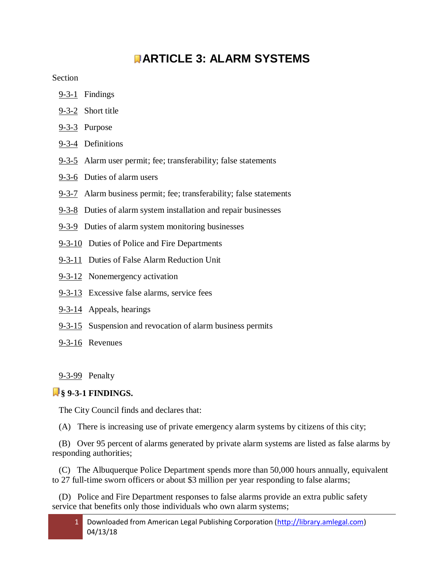# **[A](javascript:void(0))RTICLE 3: ALARM SYSTEMS**

**Section** 

- 9-3-1 Findings
- [9-3-2](http://library.amlegal.com/nxt/gateway.dll?f=jumplink$jumplink_x=Advanced$jumplink_vpc=first$jumplink_xsl=querylink.xsl$jumplink_sel=title;path;content-type;home-title;item-bookmark$jumplink_d=new%20mexico(albuqwin)$jumplink_q=%5bfield%20folio-destination-name:%279-3-2%27%5d$jumplink_md=target-id=JD_9-3-2) Short title
- [9-3-3](http://library.amlegal.com/nxt/gateway.dll?f=jumplink$jumplink_x=Advanced$jumplink_vpc=first$jumplink_xsl=querylink.xsl$jumplink_sel=title;path;content-type;home-title;item-bookmark$jumplink_d=new%20mexico(albuqwin)$jumplink_q=%5bfield%20folio-destination-name:%279-3-3%27%5d$jumplink_md=target-id=JD_9-3-3) Purpose
- 9-3-4 Definitions
- [9-3-5](http://library.amlegal.com/nxt/gateway.dll?f=jumplink$jumplink_x=Advanced$jumplink_vpc=first$jumplink_xsl=querylink.xsl$jumplink_sel=title;path;content-type;home-title;item-bookmark$jumplink_d=new%20mexico(albuqwin)$jumplink_q=%5bfield%20folio-destination-name:%279-3-5%27%5d$jumplink_md=target-id=JD_9-3-5) Alarm user permit; fee; transferability; false statements
- 9-3-6 Duties of alarm users
- 9-3-7 Alarm business permit; fee; transferability; false statements
- [9-3-8](http://library.amlegal.com/nxt/gateway.dll?f=jumplink$jumplink_x=Advanced$jumplink_vpc=first$jumplink_xsl=querylink.xsl$jumplink_sel=title;path;content-type;home-title;item-bookmark$jumplink_d=new%20mexico(albuqwin)$jumplink_q=%5bfield%20folio-destination-name:%279-3-8%27%5d$jumplink_md=target-id=JD_9-3-8) Duties of alarm system installation and repair businesses
- 9-3-9 Duties of alarm system monitoring businesses
- [9-3-10](http://library.amlegal.com/nxt/gateway.dll?f=jumplink$jumplink_x=Advanced$jumplink_vpc=first$jumplink_xsl=querylink.xsl$jumplink_sel=title;path;content-type;home-title;item-bookmark$jumplink_d=new%20mexico(albuqwin)$jumplink_q=%5bfield%20folio-destination-name:%279-3-10%27%5d$jumplink_md=target-id=JD_9-3-10) Duties of Police and Fire Departments
- 9-3-11 Duties of False Alarm Reduction Unit
- 9-3-12 Nonemergency activation
- 9-3-13 Excessive false alarms, service fees
- [9-3-14](http://library.amlegal.com/nxt/gateway.dll?f=jumplink$jumplink_x=Advanced$jumplink_vpc=first$jumplink_xsl=querylink.xsl$jumplink_sel=title;path;content-type;home-title;item-bookmark$jumplink_d=new%20mexico(albuqwin)$jumplink_q=%5bfield%20folio-destination-name:%279-3-14%27%5d$jumplink_md=target-id=JD_9-3-14) Appeals, hearings
- 9-3-15 Suspension and revocation of alarm business permits
- 9-3-16 Revenues

9-3-99 Penalty

## **§ 9-3-1 FINDINGS.**

The City Council finds and declares that:

(A) There is increasing use of private emergency alarm systems by citizens of this city;

 (B) Over 95 percent of alarms generated by private alarm systems are listed as false alarms by responding authorities;

 (C) The Albuquerque Police Department spends more than 50,000 hours annually, equivalent to 27 full-time sworn officers or about \$3 million per year responding to false alarms;

 (D) Police and Fire Department responses to false alarms provide an extra public safety service that benefits only those individuals who own alarm systems;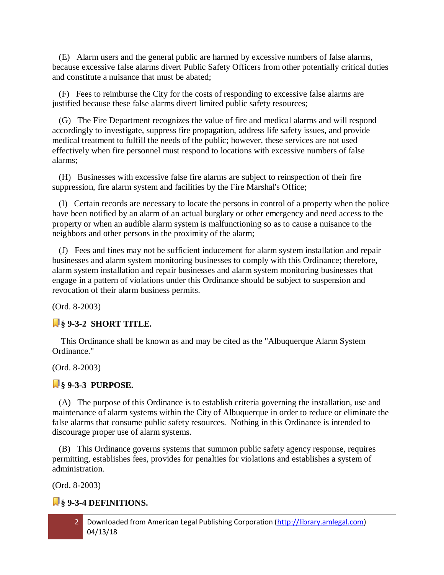(E) Alarm users and the general public are harmed by excessive numbers of false alarms, because excessive false alarms divert Public Safety Officers from other potentially critical duties and constitute a nuisance that must be abated;

 (F) Fees to reimburse the City for the costs of responding to excessive false alarms are justified because these false alarms divert limited public safety resources;

 (G) The Fire Department recognizes the value of fire and medical alarms and will respond accordingly to investigate, suppress fire propagation, address life safety issues, and provide medical treatment to fulfill the needs of the public; however, these services are not used effectively when fire personnel must respond to locations with excessive numbers of false alarms;

 (H) Businesses with excessive false fire alarms are subject to reinspection of their fire suppression, fire alarm system and facilities by the Fire Marshal's Office;

 (I) Certain records are necessary to locate the persons in control of a property when the police have been notified by an alarm of an actual burglary or other emergency and need access to the property or when an audible alarm system is malfunctioning so as to cause a nuisance to the neighbors and other persons in the proximity of the alarm;

 (J) Fees and fines may not be sufficient inducement for alarm system installation and repair businesses and alarm system monitoring businesses to comply with this Ordinance; therefore, alarm system installation and repair businesses and alarm system monitoring businesses that engage in a pattern of violations under this Ordinance should be subject to suspension and revocation of their alarm business permits.

(Ord. 8-2003)

## **§ 9-3-2 SHORT TITLE.**

This Ordinance shall be known as and may be cited as the "Albuquerque Alarm System Ordinance."

(Ord. 8-2003)

## **§ 9-3-3 PURPOSE.**

 (A) The purpose of this Ordinance is to establish criteria governing the installation, use and maintenance of alarm systems within the City of Albuquerque in order to reduce or eliminate the false alarms that consume public safety resources. Nothing in this Ordinance is intended to discourage proper use of alarm systems.

 (B) This Ordinance governs systems that summon public safety agency response, requires permitting, establishes fees, provides for penalties for violations and establishes a system of administration.

(Ord. 8-2003)

## **§ 9-3-4 DEFINITIONS.**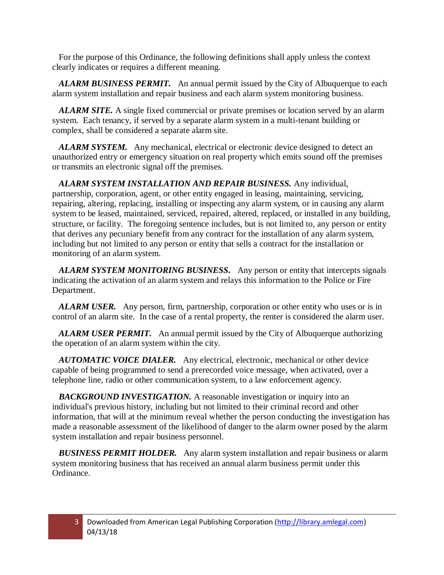For the purpose of this Ordinance, the following definitions shall apply unless the context clearly indicates or requires a different meaning.

 *ALARM BUSINESS PERMIT.* An annual permit issued by the City of Albuquerque to each alarm system installation and repair business and each alarm system monitoring business.

 *ALARM SITE.* A single fixed commercial or private premises or location served by an alarm system. Each tenancy, if served by a separate alarm system in a multi-tenant building or complex, shall be considered a separate alarm site.

 *ALARM SYSTEM.* Any mechanical, electrical or electronic device designed to detect an unauthorized entry or emergency situation on real property which emits sound off the premises or transmits an electronic signal off the premises.

 *ALARM SYSTEM INSTALLATION AND REPAIR BUSINESS.* Any individual, partnership, corporation, agent, or other entity engaged in leasing, maintaining, servicing, repairing, altering, replacing, installing or inspecting any alarm system, or in causing any alarm system to be leased, maintained, serviced, repaired, altered, replaced, or installed in any building, structure, or facility. The foregoing sentence includes, but is not limited to, any person or entity that derives any pecuniary benefit from any contract for the installation of any alarm system, including but not limited to any person or entity that sells a contract for the installation or monitoring of an alarm system.

 *ALARM SYSTEM MONITORING BUSINESS.* Any person or entity that intercepts signals indicating the activation of an alarm system and relays this information to the Police or Fire Department.

 *ALARM USER.* Any person, firm, partnership, corporation or other entity who uses or is in control of an alarm site. In the case of a rental property, the renter is considered the alarm user.

 *ALARM USER PERMIT.* An annual permit issued by the City of Albuquerque authorizing the operation of an alarm system within the city.

 *AUTOMATIC VOICE DIALER.* Any electrical, electronic, mechanical or other device capable of being programmed to send a prerecorded voice message, when activated, over a telephone line, radio or other communication system, to a law enforcement agency.

 *BACKGROUND INVESTIGATION.* A reasonable investigation or inquiry into an individual's previous history, including but not limited to their criminal record and other information, that will at the minimum reveal whether the person conducting the investigation has made a reasonable assessment of the likelihood of danger to the alarm owner posed by the alarm system installation and repair business personnel.

 *BUSINESS PERMIT HOLDER.* Any alarm system installation and repair business or alarm system monitoring business that has received an annual alarm business permit under this Ordinance.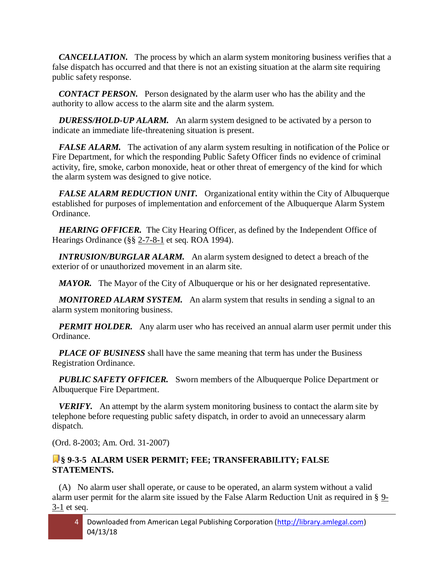*CANCELLATION.* The process by which an alarm system monitoring business verifies that a false dispatch has occurred and that there is not an existing situation at the alarm site requiring public safety response.

*CONTACT PERSON.* Person designated by the alarm user who has the ability and the authority to allow access to the alarm site and the alarm system.

 *DURESS/HOLD-UP ALARM.* An alarm system designed to be activated by a person to indicate an immediate life-threatening situation is present.

FALSE ALARM. The activation of any alarm system resulting in notification of the Police or Fire Department, for which the responding Public Safety Officer finds no evidence of criminal activity, fire, smoke, carbon monoxide, heat or other threat of emergency of the kind for which the alarm system was designed to give notice.

 *FALSE ALARM REDUCTION UNIT.* Organizational entity within the City of Albuquerque established for purposes of implementation and enforcement of the Albuquerque Alarm System Ordinance.

**HEARING OFFICER.** The City Hearing Officer, as defined by the Independent Office of Hearings Ordinance (§§ [2-7-8-1](http://library.amlegal.com/nxt/gateway.dll?f=jumplink$jumplink_x=Advanced$jumplink_vpc=first$jumplink_xsl=querylink.xsl$jumplink_sel=title;path;content-type;home-title;item-bookmark$jumplink_d=new%20mexico(albuqwin)$jumplink_q=%5bfield%20folio-destination-name:%272-7-8-1%27%5d$jumplink_md=target-id=JD_2-7-8-1) et seq. ROA 1994).

 *INTRUSION/BURGLAR ALARM.* An alarm system designed to detect a breach of the exterior of or unauthorized movement in an alarm site.

*MAYOR.* The Mayor of the City of Albuquerque or his or her designated representative.

 *MONITORED ALARM SYSTEM.* An alarm system that results in sending a signal to an alarm system monitoring business.

*PERMIT HOLDER.* Any alarm user who has received an annual alarm user permit under this Ordinance.

 *PLACE OF BUSINESS* shall have the same meaning that term has under the Business Registration Ordinance.

 *PUBLIC SAFETY OFFICER.* Sworn members of the Albuquerque Police Department or Albuquerque Fire Department.

 *VERIFY.* An attempt by the alarm system monitoring business to contact the alarm site by telephone before requesting public safety dispatch, in order to avoid an unnecessary alarm dispatch.

(Ord. 8-2003; Am. Ord. 31-2007)

## **§ 9-3-5 ALARM USER PERMIT; FEE; TRANSFERABILITY; FALSE STATEMENTS.**

 (A) No alarm user shall operate, or cause to be operated, an alarm system without a valid alarm user permit for the alarm site issued by the False Alarm Reduction Unit as required in § 9- 3-1 et seq.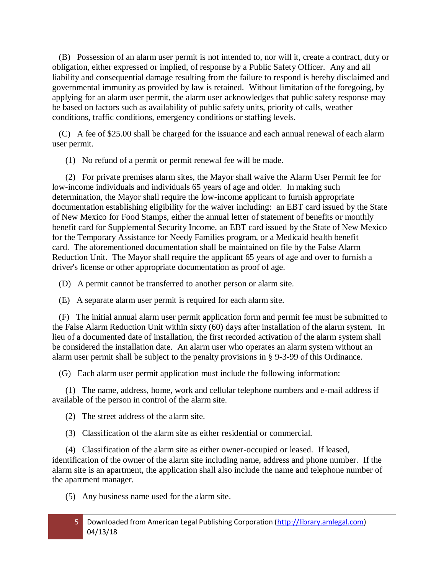(B) Possession of an alarm user permit is not intended to, nor will it, create a contract, duty or obligation, either expressed or implied, of response by a Public Safety Officer. Any and all liability and consequential damage resulting from the failure to respond is hereby disclaimed and governmental immunity as provided by law is retained. Without limitation of the foregoing, by applying for an alarm user permit, the alarm user acknowledges that public safety response may be based on factors such as availability of public safety units, priority of calls, weather conditions, traffic conditions, emergency conditions or staffing levels.

 (C) A fee of \$25.00 shall be charged for the issuance and each annual renewal of each alarm user permit.

(1) No refund of a permit or permit renewal fee will be made.

 (2) For private premises alarm sites, the Mayor shall waive the Alarm User Permit fee for low-income individuals and individuals 65 years of age and older. In making such determination, the Mayor shall require the low-income applicant to furnish appropriate documentation establishing eligibility for the waiver including: an EBT card issued by the State of New Mexico for Food Stamps, either the annual letter of statement of benefits or monthly benefit card for Supplemental Security Income, an EBT card issued by the State of New Mexico for the Temporary Assistance for Needy Families program, or a Medicaid health benefit card. The aforementioned documentation shall be maintained on file by the False Alarm Reduction Unit. The Mayor shall require the applicant 65 years of age and over to furnish a driver's license or other appropriate documentation as proof of age.

(D) A permit cannot be transferred to another person or alarm site.

(E) A separate alarm user permit is required for each alarm site.

 (F) The initial annual alarm user permit application form and permit fee must be submitted to the False Alarm Reduction Unit within sixty (60) days after installation of the alarm system. In lieu of a documented date of installation, the first recorded activation of the alarm system shall be considered the installation date. An alarm user who operates an alarm system without an alarm user permit shall be subject to the penalty provisions in § 9-3-99 of this Ordinance.

(G) Each alarm user permit application must include the following information:

 (1) The name, address, home, work and cellular telephone numbers and e-mail address if available of the person in control of the alarm site.

(2) The street address of the alarm site.

(3) Classification of the alarm site as either residential or commercial.

 (4) Classification of the alarm site as either owner-occupied or leased. If leased, identification of the owner of the alarm site including name, address and phone number. If the alarm site is an apartment, the application shall also include the name and telephone number of the apartment manager.

(5) Any business name used for the alarm site.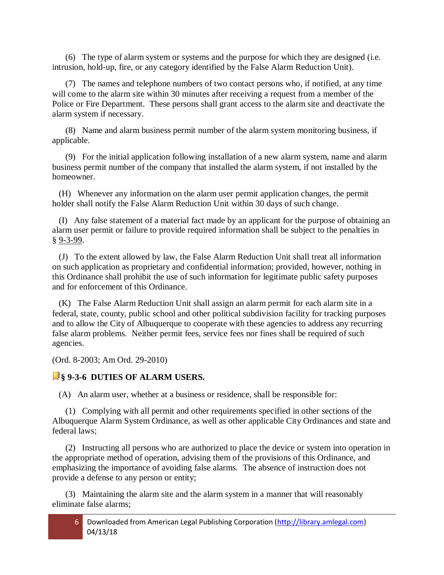(6) The type of alarm system or systems and the purpose for which they are designed (i.e. intrusion, hold-up, fire, or any category identified by the False Alarm Reduction Unit).

 (7) The names and telephone numbers of two contact persons who, if notified, at any time will come to the alarm site within 30 minutes after receiving a request from a member of the Police or Fire Department. These persons shall grant access to the alarm site and deactivate the alarm system if necessary.

 (8) Name and alarm business permit number of the alarm system monitoring business, if applicable.

 (9) For the initial application following installation of a new alarm system, name and alarm business permit number of the company that installed the alarm system, if not installed by the homeowner.

 (H) Whenever any information on the alarm user permit application changes, the permit holder shall notify the False Alarm Reduction Unit within 30 days of such change.

 (I) Any false statement of a material fact made by an applicant for the purpose of obtaining an alarm user permit or failure to provide required information shall be subject to the penalties in § 9-3-99.

 (J) To the extent allowed by law, the False Alarm Reduction Unit shall treat all information on such application as proprietary and confidential information; provided, however, nothing in this Ordinance shall prohibit the use of such information for legitimate public safety purposes and for enforcement of this Ordinance.

 (K) The False Alarm Reduction Unit shall assign an alarm permit for each alarm site in a federal, state, county, public school and other political subdivision facility for tracking purposes and to allow the City of Albuquerque to cooperate with these agencies to address any recurring false alarm problems. Neither permit fees, service fees nor fines shall be required of such agencies.

(Ord. 8-2003; Am Ord. 29-2010)

#### **§ 9-3-6 DUTIES OF ALARM USERS.**

(A) An alarm user, whether at a business or residence, shall be responsible for:

 (1) Complying with all permit and other requirements specified in other sections of the Albuquerque Alarm System Ordinance, as well as other applicable City Ordinances and state and federal laws;

 (2) Instructing all persons who are authorized to place the device or system into operation in the appropriate method of operation, advising them of the provisions of this Ordinance, and emphasizing the importance of avoiding false alarms. The absence of instruction does not provide a defense to any person or entity;

 (3) Maintaining the alarm site and the alarm system in a manner that will reasonably eliminate false alarms;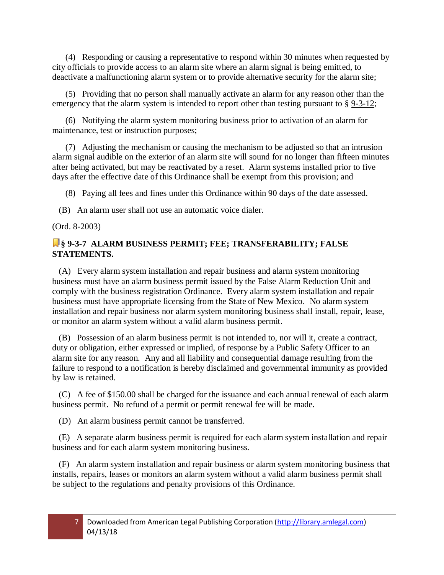(4) Responding or causing a representative to respond within 30 minutes when requested by city officials to provide access to an alarm site where an alarm signal is being emitted, to deactivate a malfunctioning alarm system or to provide alternative security for the alarm site;

 (5) Providing that no person shall manually activate an alarm for any reason other than the emergency that the alarm system is intended to report other than testing pursuant to § [9-3-12;](http://library.amlegal.com/nxt/gateway.dll?f=jumplink$jumplink_x=Advanced$jumplink_vpc=first$jumplink_xsl=querylink.xsl$jumplink_sel=title;path;content-type;home-title;item-bookmark$jumplink_d=new%20mexico(albuqwin)$jumplink_q=%5bfield%20folio-destination-name:%279-3-12%27%5d$jumplink_md=target-id=JD_9-3-12)

 (6) Notifying the alarm system monitoring business prior to activation of an alarm for maintenance, test or instruction purposes;

 (7) Adjusting the mechanism or causing the mechanism to be adjusted so that an intrusion alarm signal audible on the exterior of an alarm site will sound for no longer than fifteen minutes after being activated, but may be reactivated by a reset. Alarm systems installed prior to five days after the effective date of this Ordinance shall be exempt from this provision; and

(8) Paying all fees and fines under this Ordinance within 90 days of the date assessed.

(B) An alarm user shall not use an automatic voice dialer.

(Ord. 8-2003)

## **§ 9-3-7 ALARM BUSINESS PERMIT; FEE; TRANSFERABILITY; FALSE STATEMENTS.**

 (A) Every alarm system installation and repair business and alarm system monitoring business must have an alarm business permit issued by the False Alarm Reduction Unit and comply with the business registration Ordinance. Every alarm system installation and repair business must have appropriate licensing from the State of New Mexico. No alarm system installation and repair business nor alarm system monitoring business shall install, repair, lease, or monitor an alarm system without a valid alarm business permit.

 (B) Possession of an alarm business permit is not intended to, nor will it, create a contract, duty or obligation, either expressed or implied, of response by a Public Safety Officer to an alarm site for any reason. Any and all liability and consequential damage resulting from the failure to respond to a notification is hereby disclaimed and governmental immunity as provided by law is retained.

 (C) A fee of \$150.00 shall be charged for the issuance and each annual renewal of each alarm business permit. No refund of a permit or permit renewal fee will be made.

(D) An alarm business permit cannot be transferred.

 (E) A separate alarm business permit is required for each alarm system installation and repair business and for each alarm system monitoring business.

 (F) An alarm system installation and repair business or alarm system monitoring business that installs, repairs, leases or monitors an alarm system without a valid alarm business permit shall be subject to the regulations and penalty provisions of this Ordinance.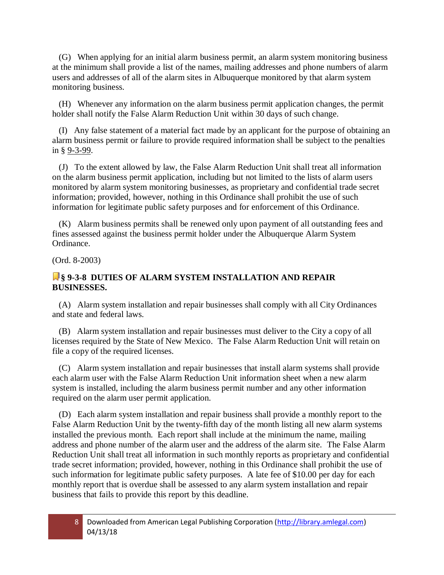(G) When applying for an initial alarm business permit, an alarm system monitoring business at the minimum shall provide a list of the names, mailing addresses and phone numbers of alarm users and addresses of all of the alarm sites in Albuquerque monitored by that alarm system monitoring business.

 (H) Whenever any information on the alarm business permit application changes, the permit holder shall notify the False Alarm Reduction Unit within 30 days of such change.

 (I) Any false statement of a material fact made by an applicant for the purpose of obtaining an alarm business permit or failure to provide required information shall be subject to the penalties in § 9-3-99.

 (J) To the extent allowed by law, the False Alarm Reduction Unit shall treat all information on the alarm business permit application, including but not limited to the lists of alarm users monitored by alarm system monitoring businesses, as proprietary and confidential trade secret information; provided, however, nothing in this Ordinance shall prohibit the use of such information for legitimate public safety purposes and for enforcement of this Ordinance.

 (K) Alarm business permits shall be renewed only upon payment of all outstanding fees and fines assessed against the business permit holder under the Albuquerque Alarm System Ordinance.

(Ord. 8-2003)

#### **§ 9-3-8 DUTIES OF ALARM SYSTEM INSTALLATION AND REPAIR BUSINESSES.**

 (A) Alarm system installation and repair businesses shall comply with all City Ordinances and state and federal laws.

 (B) Alarm system installation and repair businesses must deliver to the City a copy of all licenses required by the State of New Mexico. The False Alarm Reduction Unit will retain on file a copy of the required licenses.

 (C) Alarm system installation and repair businesses that install alarm systems shall provide each alarm user with the False Alarm Reduction Unit information sheet when a new alarm system is installed, including the alarm business permit number and any other information required on the alarm user permit application.

 (D) Each alarm system installation and repair business shall provide a monthly report to the False Alarm Reduction Unit by the twenty-fifth day of the month listing all new alarm systems installed the previous month. Each report shall include at the minimum the name, mailing address and phone number of the alarm user and the address of the alarm site. The False Alarm Reduction Unit shall treat all information in such monthly reports as proprietary and confidential trade secret information; provided, however, nothing in this Ordinance shall prohibit the use of such information for legitimate public safety purposes. A late fee of \$10.00 per day for each monthly report that is overdue shall be assessed to any alarm system installation and repair business that fails to provide this report by this deadline.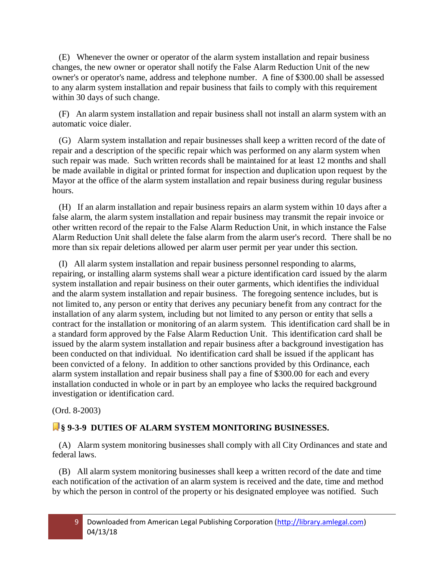(E) Whenever the owner or operator of the alarm system installation and repair business changes, the new owner or operator shall notify the False Alarm Reduction Unit of the new owner's or operator's name, address and telephone number. A fine of \$300.00 shall be assessed to any alarm system installation and repair business that fails to comply with this requirement within 30 days of such change.

 (F) An alarm system installation and repair business shall not install an alarm system with an automatic voice dialer.

 (G) Alarm system installation and repair businesses shall keep a written record of the date of repair and a description of the specific repair which was performed on any alarm system when such repair was made. Such written records shall be maintained for at least 12 months and shall be made available in digital or printed format for inspection and duplication upon request by the Mayor at the office of the alarm system installation and repair business during regular business hours.

 (H) If an alarm installation and repair business repairs an alarm system within 10 days after a false alarm, the alarm system installation and repair business may transmit the repair invoice or other written record of the repair to the False Alarm Reduction Unit, in which instance the False Alarm Reduction Unit shall delete the false alarm from the alarm user's record. There shall be no more than six repair deletions allowed per alarm user permit per year under this section.

 (I) All alarm system installation and repair business personnel responding to alarms, repairing, or installing alarm systems shall wear a picture identification card issued by the alarm system installation and repair business on their outer garments, which identifies the individual and the alarm system installation and repair business. The foregoing sentence includes, but is not limited to, any person or entity that derives any pecuniary benefit from any contract for the installation of any alarm system, including but not limited to any person or entity that sells a contract for the installation or monitoring of an alarm system. This identification card shall be in a standard form approved by the False Alarm Reduction Unit. This identification card shall be issued by the alarm system installation and repair business after a background investigation has been conducted on that individual. No identification card shall be issued if the applicant has been convicted of a felony. In addition to other sanctions provided by this Ordinance, each alarm system installation and repair business shall pay a fine of \$300.00 for each and every installation conducted in whole or in part by an employee who lacks the required background investigation or identification card.

(Ord. 8-2003)

# **§ 9-3-9 DUTIES OF ALARM SYSTEM MONITORING BUSINESSES.**

 (A) Alarm system monitoring businesses shall comply with all City Ordinances and state and federal laws.

 (B) All alarm system monitoring businesses shall keep a written record of the date and time each notification of the activation of an alarm system is received and the date, time and method by which the person in control of the property or his designated employee was notified. Such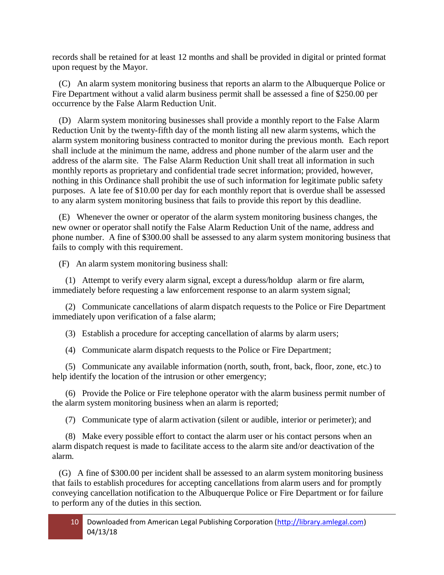records shall be retained for at least 12 months and shall be provided in digital or printed format upon request by the Mayor.

 (C) An alarm system monitoring business that reports an alarm to the Albuquerque Police or Fire Department without a valid alarm business permit shall be assessed a fine of \$250.00 per occurrence by the False Alarm Reduction Unit.

 (D) Alarm system monitoring businesses shall provide a monthly report to the False Alarm Reduction Unit by the twenty-fifth day of the month listing all new alarm systems, which the alarm system monitoring business contracted to monitor during the previous month. Each report shall include at the minimum the name, address and phone number of the alarm user and the address of the alarm site. The False Alarm Reduction Unit shall treat all information in such monthly reports as proprietary and confidential trade secret information; provided, however, nothing in this Ordinance shall prohibit the use of such information for legitimate public safety purposes. A late fee of \$10.00 per day for each monthly report that is overdue shall be assessed to any alarm system monitoring business that fails to provide this report by this deadline.

 (E) Whenever the owner or operator of the alarm system monitoring business changes, the new owner or operator shall notify the False Alarm Reduction Unit of the name, address and phone number. A fine of \$300.00 shall be assessed to any alarm system monitoring business that fails to comply with this requirement.

(F) An alarm system monitoring business shall:

 (1) Attempt to verify every alarm signal, except a duress/holdup alarm or fire alarm, immediately before requesting a law enforcement response to an alarm system signal;

 (2) Communicate cancellations of alarm dispatch requests to the Police or Fire Department immediately upon verification of a false alarm;

(3) Establish a procedure for accepting cancellation of alarms by alarm users;

(4) Communicate alarm dispatch requests to the Police or Fire Department;

 (5) Communicate any available information (north, south, front, back, floor, zone, etc.) to help identify the location of the intrusion or other emergency;

 (6) Provide the Police or Fire telephone operator with the alarm business permit number of the alarm system monitoring business when an alarm is reported;

(7) Communicate type of alarm activation (silent or audible, interior or perimeter); and

 (8) Make every possible effort to contact the alarm user or his contact persons when an alarm dispatch request is made to facilitate access to the alarm site and/or deactivation of the alarm.

 (G) A fine of \$300.00 per incident shall be assessed to an alarm system monitoring business that fails to establish procedures for accepting cancellations from alarm users and for promptly conveying cancellation notification to the Albuquerque Police or Fire Department or for failure to perform any of the duties in this section.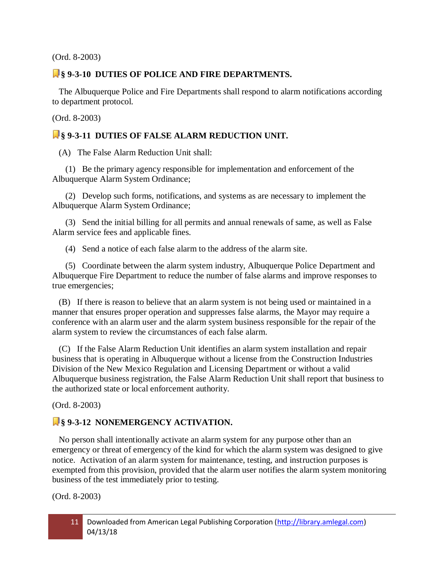(Ord. 8-2003)

#### **§ 9-3-10 DUTIES OF POLICE AND FIRE DEPARTMENTS.**

 The Albuquerque Police and Fire Departments shall respond to alarm notifications according to department protocol.

(Ord. 8-2003)

#### **§ 9-3-11 DUTIES OF FALSE ALARM REDUCTION UNIT.**

(A) The False Alarm Reduction Unit shall:

 (1) Be the primary agency responsible for implementation and enforcement of the Albuquerque Alarm System Ordinance;

 (2) Develop such forms, notifications, and systems as are necessary to implement the Albuquerque Alarm System Ordinance;

 (3) Send the initial billing for all permits and annual renewals of same, as well as False Alarm service fees and applicable fines.

(4) Send a notice of each false alarm to the address of the alarm site.

 (5) Coordinate between the alarm system industry, Albuquerque Police Department and Albuquerque Fire Department to reduce the number of false alarms and improve responses to true emergencies;

 (B) If there is reason to believe that an alarm system is not being used or maintained in a manner that ensures proper operation and suppresses false alarms, the Mayor may require a conference with an alarm user and the alarm system business responsible for the repair of the alarm system to review the circumstances of each false alarm.

 (C) If the False Alarm Reduction Unit identifies an alarm system installation and repair business that is operating in Albuquerque without a license from the Construction Industries Division of the New Mexico Regulation and Licensing Department or without a valid Albuquerque business registration, the False Alarm Reduction Unit shall report that business to the authorized state or local enforcement authority.

(Ord. 8-2003)

## **§ 9-3-12 NONEMERGENCY ACTIVATION.**

 No person shall intentionally activate an alarm system for any purpose other than an emergency or threat of emergency of the kind for which the alarm system was designed to give notice. Activation of an alarm system for maintenance, testing, and instruction purposes is exempted from this provision, provided that the alarm user notifies the alarm system monitoring business of the test immediately prior to testing.

(Ord. 8-2003)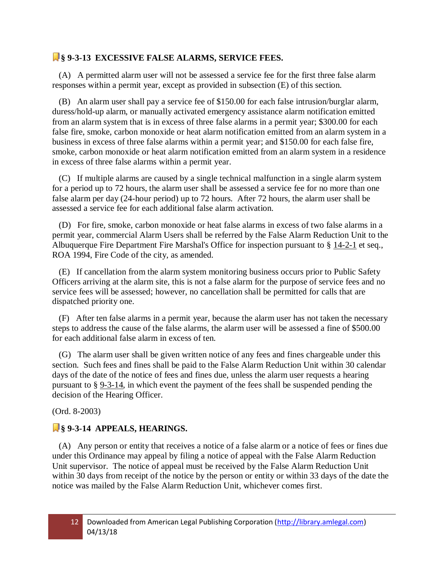## **§ 9-3-13 EXCESSIVE FALSE ALARMS, SERVICE FEES.**

 (A) A permitted alarm user will not be assessed a service fee for the first three false alarm responses within a permit year, except as provided in subsection (E) of this section.

 (B) An alarm user shall pay a service fee of \$150.00 for each false intrusion/burglar alarm, duress/hold-up alarm, or manually activated emergency assistance alarm notification emitted from an alarm system that is in excess of three false alarms in a permit year; \$300.00 for each false fire, smoke, carbon monoxide or heat alarm notification emitted from an alarm system in a business in excess of three false alarms within a permit year; and \$150.00 for each false fire, smoke, carbon monoxide or heat alarm notification emitted from an alarm system in a residence in excess of three false alarms within a permit year.

 (C) If multiple alarms are caused by a single technical malfunction in a single alarm system for a period up to 72 hours, the alarm user shall be assessed a service fee for no more than one false alarm per day (24-hour period) up to 72 hours. After 72 hours, the alarm user shall be assessed a service fee for each additional false alarm activation.

 (D) For fire, smoke, carbon monoxide or heat false alarms in excess of two false alarms in a permit year, commercial Alarm Users shall be referred by the False Alarm Reduction Unit to the Albuquerque Fire Department Fire Marshal's Office for inspection pursuant to § [14-2-1](http://library.amlegal.com/nxt/gateway.dll?f=jumplink$jumplink_x=Advanced$jumplink_vpc=first$jumplink_xsl=querylink.xsl$jumplink_sel=title;path;content-type;home-title;item-bookmark$jumplink_d=new%20mexico(albuqwin)$jumplink_q=%5bfield%20folio-destination-name:%2714-2-1%27%5d$jumplink_md=target-id=JD_14-2-1) et seq., ROA 1994, Fire Code of the city, as amended.

 (E) If cancellation from the alarm system monitoring business occurs prior to Public Safety Officers arriving at the alarm site, this is not a false alarm for the purpose of service fees and no service fees will be assessed; however, no cancellation shall be permitted for calls that are dispatched priority one.

 (F) After ten false alarms in a permit year, because the alarm user has not taken the necessary steps to address the cause of the false alarms, the alarm user will be assessed a fine of \$500.00 for each additional false alarm in excess of ten.

 (G) The alarm user shall be given written notice of any fees and fines chargeable under this section. Such fees and fines shall be paid to the False Alarm Reduction Unit within 30 calendar days of the date of the notice of fees and fines due, unless the alarm user requests a hearing pursuant to § [9-3-14,](http://library.amlegal.com/nxt/gateway.dll?f=jumplink$jumplink_x=Advanced$jumplink_vpc=first$jumplink_xsl=querylink.xsl$jumplink_sel=title;path;content-type;home-title;item-bookmark$jumplink_d=new%20mexico(albuqwin)$jumplink_q=%5bfield%20folio-destination-name:%279-3-14%27%5d$jumplink_md=target-id=JD_9-3-14) in which event the payment of the fees shall be suspended pending the decision of the Hearing Officer.

(Ord. 8-2003)

# **§ 9-3-14 APPEALS, HEARINGS.**

 (A) Any person or entity that receives a notice of a false alarm or a notice of fees or fines due under this Ordinance may appeal by filing a notice of appeal with the False Alarm Reduction Unit supervisor. The notice of appeal must be received by the False Alarm Reduction Unit within 30 days from receipt of the notice by the person or entity or within 33 days of the date the notice was mailed by the False Alarm Reduction Unit, whichever comes first.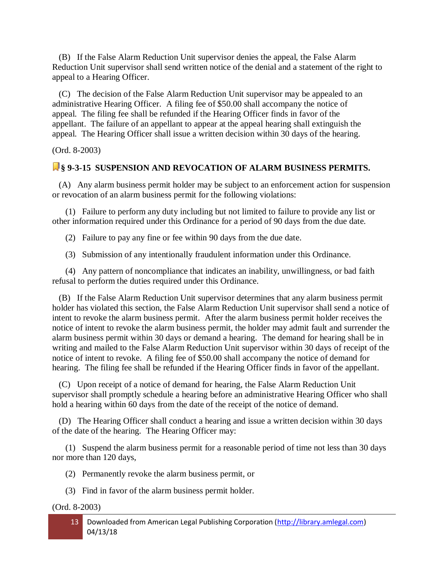(B) If the False Alarm Reduction Unit supervisor denies the appeal, the False Alarm Reduction Unit supervisor shall send written notice of the denial and a statement of the right to appeal to a Hearing Officer.

 (C) The decision of the False Alarm Reduction Unit supervisor may be appealed to an administrative Hearing Officer. A filing fee of \$50.00 shall accompany the notice of appeal. The filing fee shall be refunded if the Hearing Officer finds in favor of the appellant. The failure of an appellant to appear at the appeal hearing shall extinguish the appeal. The Hearing Officer shall issue a written decision within 30 days of the hearing.

(Ord. 8-2003)

#### **§ 9-3-15 SUSPENSION AND REVOCATION OF ALARM BUSINESS PERMITS.**

 (A) Any alarm business permit holder may be subject to an enforcement action for suspension or revocation of an alarm business permit for the following violations:

 (1) Failure to perform any duty including but not limited to failure to provide any list or other information required under this Ordinance for a period of 90 days from the due date.

(2) Failure to pay any fine or fee within 90 days from the due date.

(3) Submission of any intentionally fraudulent information under this Ordinance.

 (4) Any pattern of noncompliance that indicates an inability, unwillingness, or bad faith refusal to perform the duties required under this Ordinance.

 (B) If the False Alarm Reduction Unit supervisor determines that any alarm business permit holder has violated this section, the False Alarm Reduction Unit supervisor shall send a notice of intent to revoke the alarm business permit. After the alarm business permit holder receives the notice of intent to revoke the alarm business permit, the holder may admit fault and surrender the alarm business permit within 30 days or demand a hearing. The demand for hearing shall be in writing and mailed to the False Alarm Reduction Unit supervisor within 30 days of receipt of the notice of intent to revoke. A filing fee of \$50.00 shall accompany the notice of demand for hearing. The filing fee shall be refunded if the Hearing Officer finds in favor of the appellant.

 (C) Upon receipt of a notice of demand for hearing, the False Alarm Reduction Unit supervisor shall promptly schedule a hearing before an administrative Hearing Officer who shall hold a hearing within 60 days from the date of the receipt of the notice of demand.

 (D) The Hearing Officer shall conduct a hearing and issue a written decision within 30 days of the date of the hearing. The Hearing Officer may:

 (1) Suspend the alarm business permit for a reasonable period of time not less than 30 days nor more than 120 days,

(2) Permanently revoke the alarm business permit, or

(3) Find in favor of the alarm business permit holder.

(Ord. 8-2003)